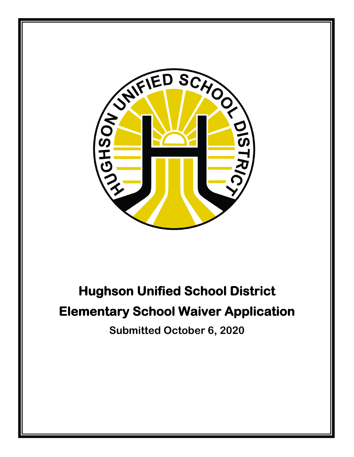

# **Hughson Unified School District Elementary School Waiver Application**

**Submitted October 6, 2020**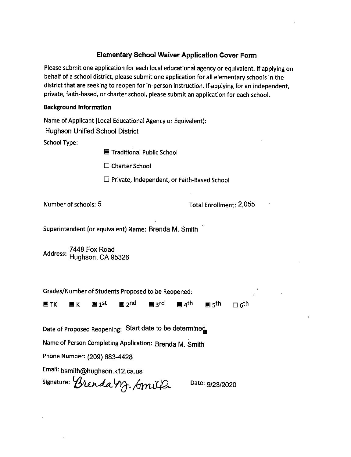#### **Elementary School Waiver Application Cover Form**

Please submit one application for each local educational agency or equivalent. If applying on behalf of a school district, please submit one application for all elementary schools in the district that are seeking to reopen for in-person instruction. If applying for an independent, private, faith-based, or charter school, please submit an application for each school.

#### **Background Information**

Name of Applicant (Local Educational Agency or Equivalent):

**Hughson Unified School District** 

**School Type:** 

**■ Traditional Public School** 

 $\Box$  Charter School

 $\Box$  Private, Independent, or Faith-Based School

Number of schools: 5

Total Enrollment: 2,055

Superintendent (or equivalent) Name: Brenda M. Smith

Address: 7448 Fox Road<br>Address: Hughson, CA 95326

Grades/Number of Students Proposed to be Reopened:

 $\blacksquare$  4<sup>th</sup> ן מ⊑ pand me <u>pe</u> <sub>3</sub>rd **E** TK  $\blacksquare$  K  $\blacksquare$  दुर्th  $\Box$  6<sup>th</sup>

Date of Proposed Reopening: Start date to be determined

Name of Person Completing Application: Brenda M. Smith

Phone Number: (209) 883-4428

Email: bsmith@hughson.k12.ca.us

signature: Brenda M. Amilla

Date: 9/23/2020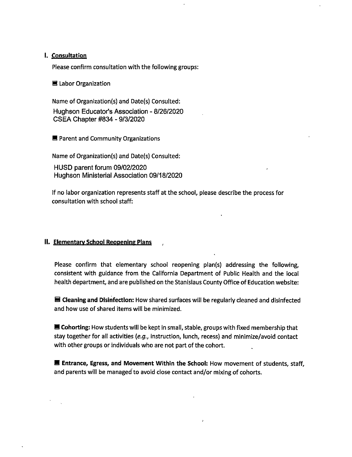#### I. Consultation

Please confirm consultation with the following groups:

■ Labor Organization

Name of Organization(s) and Date(s) Consulted: Hughson Educator's Association - 8/26/2020 CSEA Chapter #834 - 9/3/2020

■ Parent and Community Organizations

Name of Organization(s) and Date(s) Consulted:

HUSD parent forum 09/02/2020 Hughson Ministerial Association 09/18/2020

If no labor organization represents staff at the school, please describe the process for consultation with school staff:

#### II. Elementary School Reopening Plans

Please confirm that elementary school reopening plan(s) addressing the following, consistent with guidance from the California Department of Public Health and the local health department, and are published on the Stanislaus County Office of Education website:

■ Cleaning and Disinfection: How shared surfaces will be regularly cleaned and disinfected and how use of shared items will be minimized.

**E** Cohorting: How students will be kept in small, stable, groups with fixed membership that stay together for all activities (e.g., instruction, lunch, recess) and minimize/avoid contact with other groups or individuals who are not part of the cohort.

E Entrance, Egress, and Movement Within the School: How movement of students, staff, and parents will be managed to avoid close contact and/or mixing of cohorts.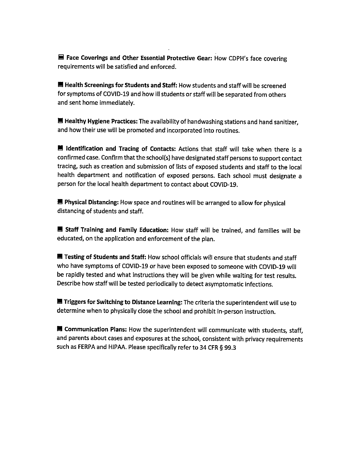■ Face Coverings and Other Essential Protective Gear: How CDPH's face covering requirements will be satisfied and enforced.

Health Screenings for Students and Staff: How students and staff will be screened for symptoms of COVID-19 and how ill students or staff will be separated from others and sent home immediately.

E Healthy Hygiene Practices: The availability of handwashing stations and hand sanitizer, and how their use will be promoted and incorporated into routines.

I Identification and Tracing of Contacts: Actions that staff will take when there is a confirmed case. Confirm that the school(s) have designated staff persons to support contact tracing, such as creation and submission of lists of exposed students and staff to the local health department and notification of exposed persons. Each school must designate a person for the local health department to contact about COVID-19.

■ Physical Distancing: How space and routines will be arranged to allow for physical distancing of students and staff.

Staff Training and Family Education: How staff will be trained, and families will be educated, on the application and enforcement of the plan.

Testing of Students and Staff: How school officials will ensure that students and staff who have symptoms of COVID-19 or have been exposed to someone with COVID-19 will be rapidly tested and what instructions they will be given while waiting for test results. Describe how staff will be tested periodically to detect asymptomatic infections.

Triggers for Switching to Distance Learning: The criteria the superintendent will use to determine when to physically close the school and prohibit in-person instruction.

E Communication Plans: How the superintendent will communicate with students, staff, and parents about cases and exposures at the school, consistent with privacy requirements such as FERPA and HIPAA. Please specifically refer to 34 CFR § 99.3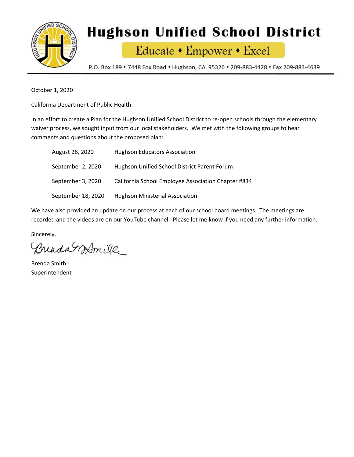

# **Hughson Unified School District**

Educate • Empower • Excel

P.O. Box 189 • 7448 Fox Road • Hughson, CA 95326 • 209-883-4428 • Fax 209-883-4639

October 1, 2020

California Department of Public Health:

In an effort to create a Plan for the Hughson Unified School District to re-open schools through the elementary waiver process, we sought input from our local stakeholders. We met with the following groups to hear comments and questions about the proposed plan:

| August 26, 2020    | <b>Hughson Educators Association</b>                |
|--------------------|-----------------------------------------------------|
| September 2, 2020  | Hughson Unified School District Parent Forum        |
| September 3, 2020  | California School Employee Association Chapter #834 |
| September 18, 2020 | <b>Hughson Ministerial Association</b>              |

We have also provided an update on our process at each of our school board meetings. The meetings are recorded and the videos are on our YouTube channel. Please let me know if you need any further information.

Sincerely,

Brenda WAmile

Brenda Smith Superintendent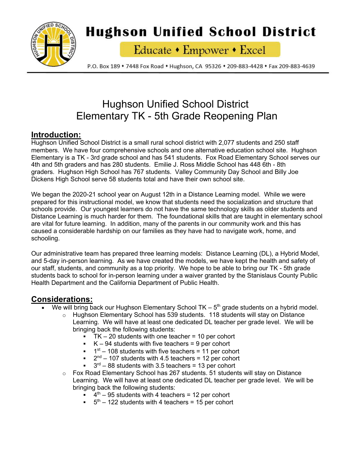

## **Hughson Unified School District**

Educate • Empower • Excel

P.O. Box 189 • 7448 Fox Road • Hughson, CA 95326 • 209-883-4428 • Fax 209-883-4639

## Hughson Unified School District Elementary TK - 5th Grade Reopening Plan

## **Introduction:**

Hughson Unified School District is a small rural school district with 2,077 students and 250 staff members. We have four comprehensive schools and one alternative education school site. Hughson Elementary is a TK - 3rd grade school and has 541 students. Fox Road Elementary School serves our 4th and 5th graders and has 280 students. Emilie J. Ross Middle School has 448 6th - 8th graders. Hughson High School has 767 students. Valley Community Day School and Billy Joe Dickens High School serve 58 students total and have their own school site.

We began the 2020-21 school year on August 12th in a Distance Learning model. While we were prepared for this instructional model, we know that students need the socialization and structure that schools provide. Our youngest learners do not have the same technology skills as older students and Distance Learning is much harder for them. The foundational skills that are taught in elementary school are vital for future learning. In addition, many of the parents in our community work and this has caused a considerable hardship on our families as they have had to navigate work, home, and schooling.

Our administrative team has prepared three learning models: Distance Learning (DL), a Hybrid Model, and 5-day in-person learning. As we have created the models, we have kept the health and safety of our staff, students, and community as a top priority. We hope to be able to bring our TK - 5th grade students back to school for in-person learning under a waiver granted by the Stanislaus County Public Health Department and the California Department of Public Health.

## **Considerations:**

- We will bring back our Hughson Elementary School TK  $5<sup>th</sup>$  grade students on a hybrid model.
	- o Hughson Elementary School has 539 students. 118 students will stay on Distance Learning. We will have at least one dedicated DL teacher per grade level. We will be bringing back the following students:
		- $\blacksquare$  TK 20 students with one teacher = 10 per cohort
		- $K 94$  students with five teachers = 9 per cohort
		- $1<sup>st</sup>$  108 students with five teachers = 11 per cohort
		- $2<sup>nd</sup> 107$  students with 4.5 teachers = 12 per cohort
		- $3<sup>rd</sup> 88$  students with 3.5 teachers = 13 per cohort
	- $\circ$  Fox Road Elementary School has 267 students. 51 students will stay on Distance Learning. We will have at least one dedicated DL teacher per grade level. We will be bringing back the following students:
		- $\bullet$  4<sup>th</sup> 95 students with 4 teachers = 12 per cohort
		- $5<sup>th</sup> 122$  students with 4 teachers = 15 per cohort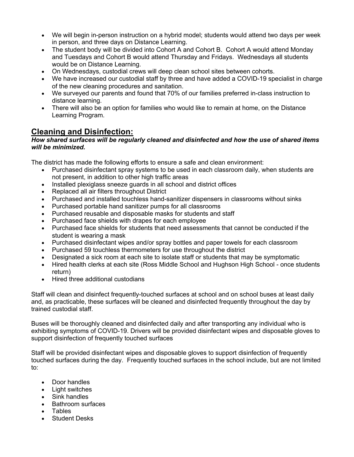- We will begin in-person instruction on a hybrid model; students would attend two days per week in person, and three days on Distance Learning.
- The student body will be divided into Cohort A and Cohort B. Cohort A would attend Monday and Tuesdays and Cohort B would attend Thursday and Fridays. Wednesdays all students would be on Distance Learning.
- On Wednesdays, custodial crews will deep clean school sites between cohorts.
- We have increased our custodial staff by three and have added a COVID-19 specialist in charge of the new cleaning procedures and sanitation.
- We surveyed our parents and found that 70% of our families preferred in-class instruction to distance learning.
- There will also be an option for families who would like to remain at home, on the Distance Learning Program.

## **Cleaning and Disinfection:**

#### *How shared surfaces will be regularly cleaned and disinfected and how the use of shared items will be minimized.*

The district has made the following efforts to ensure a safe and clean environment:

- Purchased disinfectant spray systems to be used in each classroom daily, when students are not present, in addition to other high traffic areas
- Installed plexiglass sneeze guards in all school and district offices
- Replaced all air filters throughout District
- Purchased and installed touchless hand-sanitizer dispensers in classrooms without sinks
- Purchased portable hand sanitizer pumps for all classrooms
- Purchased reusable and disposable masks for students and staff
- Purchased face shields with drapes for each employee
- Purchased face shields for students that need assessments that cannot be conducted if the student is wearing a mask
- Purchased disinfectant wipes and/or spray bottles and paper towels for each classroom
- Purchased 59 touchless thermometers for use throughout the district
- Designated a sick room at each site to isolate staff or students that may be symptomatic
- Hired health clerks at each site (Ross Middle School and Hughson High School once students return)
- Hired three additional custodians

Staff will clean and disinfect frequently-touched surfaces at school and on school buses at least daily and, as practicable, these surfaces will be cleaned and disinfected frequently throughout the day by trained custodial staff.

Buses will be thoroughly cleaned and disinfected daily and after transporting any individual who is exhibiting symptoms of COVID-19. Drivers will be provided disinfectant wipes and disposable gloves to support disinfection of frequently touched surfaces

Staff will be provided disinfectant wipes and disposable gloves to support disinfection of frequently touched surfaces during the day. Frequently touched surfaces in the school include, but are not limited to:

- Door handles
- Light switches
- Sink handles
- Bathroom surfaces
- Tables
- **Student Desks**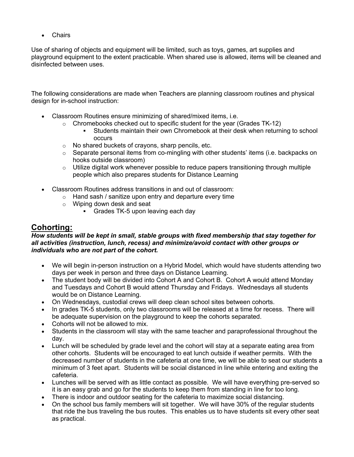• Chairs

Use of sharing of objects and equipment will be limited, such as toys, games, art supplies and playground equipment to the extent practicable. When shared use is allowed, items will be cleaned and disinfected between uses.

The following considerations are made when Teachers are planning classroom routines and physical design for in-school instruction:

- Classroom Routines ensure minimizing of shared/mixed items, i.e.
	- $\circ$  Chromebooks checked out to specific student for the year (Grades TK-12)
		- § Students maintain their own Chromebook at their desk when returning to school occurs
	- o No shared buckets of crayons, sharp pencils, etc.
	- $\circ$  Separate personal items from co-mingling with other students' items (i.e. backpacks on hooks outside classroom)
	- $\circ$  Utilize digital work whenever possible to reduce papers transitioning through multiple people which also prepares students for Distance Learning
- Classroom Routines address transitions in and out of classroom:
	- $\circ$  Hand sash / sanitize upon entry and departure every time
	- o Wiping down desk and seat
		- Grades TK-5 upon leaving each day

## **Cohorting:**

#### *How students will be kept in small, stable groups with fixed membership that stay together for all activities (instruction, lunch, recess) and minimize/avoid contact with other groups or individuals who are not part of the cohort.*

- We will begin in-person instruction on a Hybrid Model, which would have students attending two days per week in person and three days on Distance Learning.
- The student body will be divided into Cohort A and Cohort B. Cohort A would attend Monday and Tuesdays and Cohort B would attend Thursday and Fridays. Wednesdays all students would be on Distance Learning.
- On Wednesdays, custodial crews will deep clean school sites between cohorts.
- In grades TK-5 students, only two classrooms will be released at a time for recess. There will be adequate supervision on the playground to keep the cohorts separated.
- Cohorts will not be allowed to mix.
- Students in the classroom will stay with the same teacher and paraprofessional throughout the day.
- Lunch will be scheduled by grade level and the cohort will stay at a separate eating area from other cohorts. Students will be encouraged to eat lunch outside if weather permits. With the decreased number of students in the cafeteria at one time, we will be able to seat our students a minimum of 3 feet apart. Students will be social distanced in line while entering and exiting the cafeteria.
- Lunches will be served with as little contact as possible. We will have everything pre-served so it is an easy grab and go for the students to keep them from standing in line for too long.
- There is indoor and outdoor seating for the cafeteria to maximize social distancing.
- On the school bus family members will sit together. We will have 30% of the regular students that ride the bus traveling the bus routes. This enables us to have students sit every other seat as practical.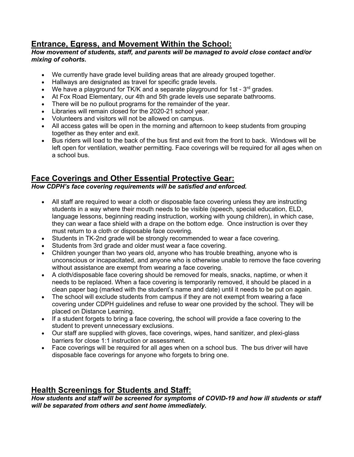## **Entrance, Egress, and Movement Within the School:**

#### *How movement of students, staff, and parents will be managed to avoid close contact and/or mixing of cohorts.*

- We currently have grade level building areas that are already grouped together.
- Hallways are designated as travel for specific grade levels.
- We have a playground for TK/K and a separate playground for 1st  $3<sup>rd</sup>$  grades.
- At Fox Road Elementary, our 4th and 5th grade levels use separate bathrooms.
- There will be no pullout programs for the remainder of the year.
- Libraries will remain closed for the 2020-21 school year.
- Volunteers and visitors will not be allowed on campus.
- All access gates will be open in the morning and afternoon to keep students from grouping together as they enter and exit.
- Bus riders will load to the back of the bus first and exit from the front to back. Windows will be left open for ventilation, weather permitting. Face coverings will be required for all ages when on a school bus.

## **Face Coverings and Other Essential Protective Gear:**

#### *How CDPH's face covering requirements will be satisfied and enforced.*

- All staff are required to wear a cloth or disposable face covering unless they are instructing students in a way where their mouth needs to be visible (speech, special education, ELD, language lessons, beginning reading instruction, working with young children), in which case, they can wear a face shield with a drape on the bottom edge. Once instruction is over they must return to a cloth or disposable face covering.
- Students in TK-2nd grade will be strongly recommended to wear a face covering.
- Students from 3rd grade and older must wear a face covering.
- Children younger than two years old, anyone who has trouble breathing, anyone who is unconscious or incapacitated, and anyone who is otherwise unable to remove the face covering without assistance are exempt from wearing a face covering.
- A cloth/disposable face covering should be removed for meals, snacks, naptime, or when it needs to be replaced. When a face covering is temporarily removed, it should be placed in a clean paper bag (marked with the student's name and date) until it needs to be put on again.
- The school will exclude students from campus if they are not exempt from wearing a face covering under CDPH guidelines and refuse to wear one provided by the school. They will be placed on Distance Learning.
- If a student forgets to bring a face covering, the school will provide a face covering to the student to prevent unnecessary exclusions.
- Our staff are supplied with gloves, face coverings, wipes, hand sanitizer, and plexi-glass barriers for close 1:1 instruction or assessment.
- Face coverings will be required for all ages when on a school bus. The bus driver will have disposable face coverings for anyone who forgets to bring one.

## **Health Screenings for Students and Staff:**

*How students and staff will be screened for symptoms of COVID-19 and how ill students or staff will be separated from others and sent home immediately.*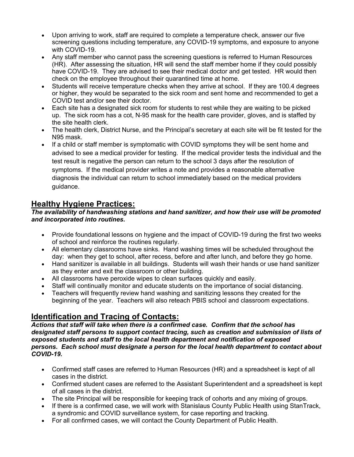- Upon arriving to work, staff are required to complete a temperature check, answer our five screening questions including temperature, any COVID-19 symptoms, and exposure to anyone with COVID-19.
- Any staff member who cannot pass the screening questions is referred to Human Resources (HR). After assessing the situation, HR will send the staff member home if they could possibly have COVID-19. They are advised to see their medical doctor and get tested. HR would then check on the employee throughout their quarantined time at home.
- Students will receive temperature checks when they arrive at school. If they are 100.4 degrees or higher, they would be separated to the sick room and sent home and recommended to get a COVID test and/or see their doctor.
- Each site has a designated sick room for students to rest while they are waiting to be picked up. The sick room has a cot, N-95 mask for the health care provider, gloves, and is staffed by the site health clerk.
- The health clerk, District Nurse, and the Principal's secretary at each site will be fit tested for the N95 mask.
- If a child or staff member is symptomatic with COVID symptoms they will be sent home and advised to see a medical provider for testing. If the medical provider tests the individual and the test result is negative the person can return to the school 3 days after the resolution of symptoms. If the medical provider writes a note and provides a reasonable alternative diagnosis the individual can return to school immediately based on the medical providers guidance.

## **Healthy Hygiene Practices:**

#### *The availability of handwashing stations and hand sanitizer, and how their use will be promoted and incorporated into routines.*

- Provide foundational lessons on hygiene and the impact of COVID-19 during the first two weeks of school and reinforce the routines regularly.
- All elementary classrooms have sinks. Hand washing times will be scheduled throughout the day: when they get to school, after recess, before and after lunch, and before they go home.
- Hand sanitizer is available in all buildings. Students will wash their hands or use hand sanitizer as they enter and exit the classroom or other building.
- All classrooms have peroxide wipes to clean surfaces quickly and easily.
- Staff will continually monitor and educate students on the importance of social distancing.
- Teachers will frequently review hand washing and sanitizing lessons they created for the beginning of the year. Teachers will also reteach PBIS school and classroom expectations.

## **Identification and Tracing of Contacts:**

*Actions that staff will take when there is a confirmed case. Confirm that the school has designated staff persons to support contact tracing, such as creation and submission of lists of exposed students and staff to the local health department and notification of exposed persons. Each school must designate a person for the local health department to contact about COVID-19.*

- Confirmed staff cases are referred to Human Resources (HR) and a spreadsheet is kept of all cases in the district.
- Confirmed student cases are referred to the Assistant Superintendent and a spreadsheet is kept of all cases in the district.
- The site Principal will be responsible for keeping track of cohorts and any mixing of groups.
- If there is a confirmed case, we will work with Stanislaus County Public Health using StanTrack, a syndromic and COVID surveillance system, for case reporting and tracking.
- For all confirmed cases, we will contact the County Department of Public Health.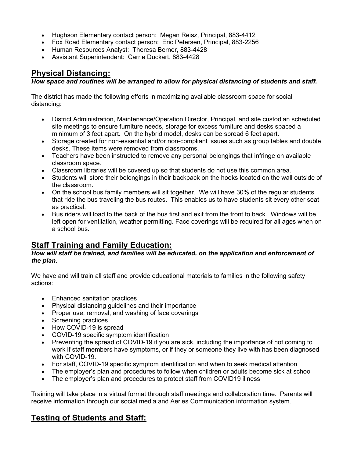- Hughson Elementary contact person: Megan Reisz, Principal, 883-4412
- Fox Road Elementary contact person: Eric Petersen, Principal, 883-2256
- Human Resources Analyst: Theresa Berner, 883-4428
- Assistant Superintendent: Carrie Duckart, 883-4428

## **Physical Distancing:**

#### *How space and routines will be arranged to allow for physical distancing of students and staff.*

The district has made the following efforts in maximizing available classroom space for social distancing:

- District Administration, Maintenance/Operation Director, Principal, and site custodian scheduled site meetings to ensure furniture needs, storage for excess furniture and desks spaced a minimum of 3 feet apart. On the hybrid model, desks can be spread 6 feet apart.
- Storage created for non-essential and/or non-compliant issues such as group tables and double desks. These items were removed from classrooms.
- Teachers have been instructed to remove any personal belongings that infringe on available classroom space.
- Classroom libraries will be covered up so that students do not use this common area.
- Students will store their belongings in their backpack on the hooks located on the wall outside of the classroom.
- On the school bus family members will sit together. We will have 30% of the regular students that ride the bus traveling the bus routes. This enables us to have students sit every other seat as practical.
- Bus riders will load to the back of the bus first and exit from the front to back. Windows will be left open for ventilation, weather permitting. Face coverings will be required for all ages when on a school bus.

## **Staff Training and Family Education:**

#### *How will staff be trained, and families will be educated, on the application and enforcement of the plan.*

We have and will train all staff and provide educational materials to families in the following safety actions:

- Enhanced sanitation practices
- Physical distancing guidelines and their importance
- Proper use, removal, and washing of face coverings
- Screening practices
- How COVID-19 is spread
- COVID-19 specific symptom identification
- Preventing the spread of COVID-19 if you are sick, including the importance of not coming to work if staff members have symptoms, or if they or someone they live with has been diagnosed with COVID-19
- For staff, COVID-19 specific symptom identification and when to seek medical attention
- The employer's plan and procedures to follow when children or adults become sick at school
- The employer's plan and procedures to protect staff from COVID19 illness

Training will take place in a virtual format through staff meetings and collaboration time. Parents will receive information through our social media and Aeries Communication information system.

## **Testing of Students and Staff:**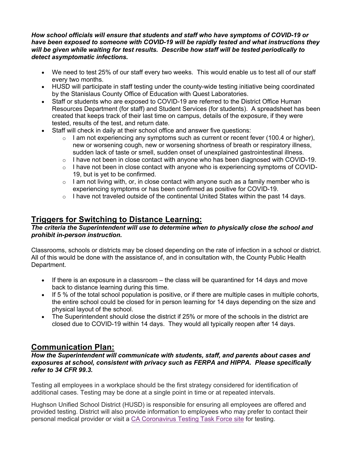#### *How school officials will ensure that students and staff who have symptoms of COVID-19 or have been exposed to someone with COVID-19 will be rapidly tested and what instructions they will be given while waiting for test results. Describe how staff will be tested periodically to detect asymptomatic infections.*

- We need to test 25% of our staff every two weeks. This would enable us to test all of our staff every two months.
- HUSD will participate in staff testing under the county-wide testing initiative being coordinated by the Stanislaus County Office of Education with Quest Laboratories.
- Staff or students who are exposed to COVID-19 are referred to the District Office Human Resources Department (for staff) and Student Services (for students). A spreadsheet has been created that keeps track of their last time on campus, details of the exposure, if they were tested, results of the test, and return date.
- Staff will check in daily at their school office and answer five questions:
	- $\circ$  I am not experiencing any symptoms such as current or recent fever (100.4 or higher), new or worsening cough, new or worsening shortness of breath or respiratory illness, sudden lack of taste or smell, sudden onset of unexplained gastrointestinal illness.
	- $\circ$  I have not been in close contact with anyone who has been diagnosed with COVID-19.
	- $\circ$  I have not been in close contact with anyone who is experiencing symptoms of COVID-19, but is yet to be confirmed.
	- $\circ$  I am not living with, or, in close contact with anyone such as a family member who is experiencing symptoms or has been confirmed as positive for COVID-19.
	- $\circ$  I have not traveled outside of the continental United States within the past 14 days.

## **Triggers for Switching to Distance Learning:**

#### *The criteria the Superintendent will use to determine when to physically close the school and prohibit in-person instruction.*

Classrooms, schools or districts may be closed depending on the rate of infection in a school or district. All of this would be done with the assistance of, and in consultation with, the County Public Health Department.

- If there is an exposure in a classroom the class will be quarantined for 14 days and move back to distance learning during this time.
- If 5 % of the total school population is positive, or if there are multiple cases in multiple cohorts, the entire school could be closed for in person learning for 14 days depending on the size and physical layout of the school.
- The Superintendent should close the district if 25% or more of the schools in the district are closed due to COVID-19 within 14 days. They would all typically reopen after 14 days.

## **Communication Plan:**

#### *How the Superintendent will communicate with students, staff, and parents about cases and exposures at school, consistent with privacy such as FERPA and HIPPA. Please specifically refer to 34 CFR 99.3.*

Testing all employees in a workplace should be the first strategy considered for identification of additional cases. Testing may be done at a single point in time or at repeated intervals.

Hughson Unified School District (HUSD) is responsible for ensuring all employees are offered and provided testing. District will also provide information to employees who may prefer to contact their personal medical provider or visit a CA Coronavirus Testing Task Force site for testing.